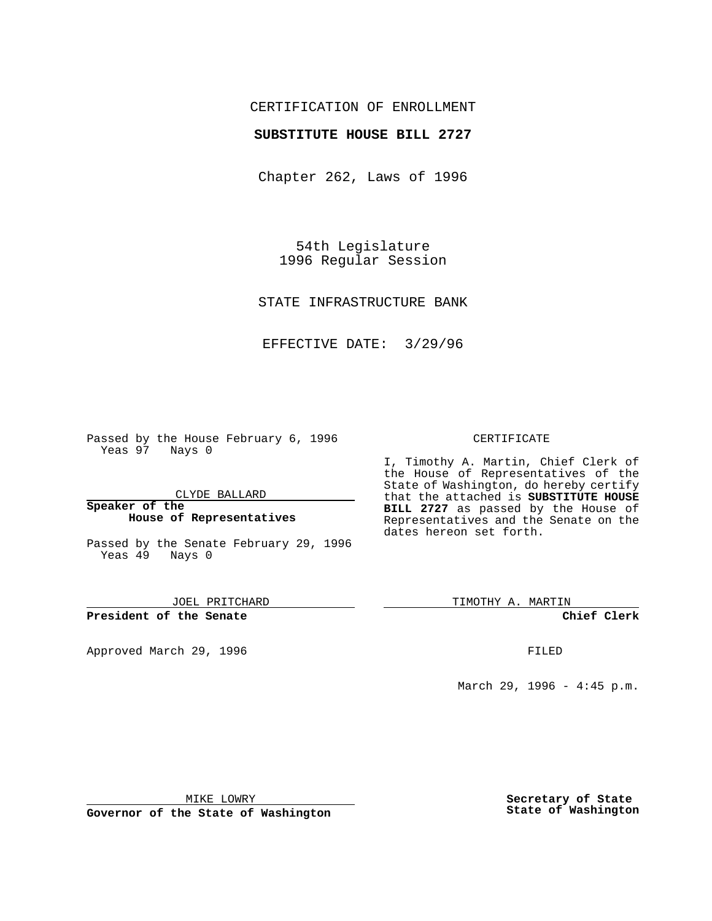## CERTIFICATION OF ENROLLMENT

### **SUBSTITUTE HOUSE BILL 2727**

Chapter 262, Laws of 1996

54th Legislature 1996 Regular Session

STATE INFRASTRUCTURE BANK

EFFECTIVE DATE: 3/29/96

Passed by the House February 6, 1996 Yeas 97 Nays 0

CLYDE BALLARD

**Speaker of the House of Representatives**

Passed by the Senate February 29, 1996 Yeas 49 Nays 0

JOEL PRITCHARD

**President of the Senate**

Approved March 29, 1996 FILED

#### CERTIFICATE

I, Timothy A. Martin, Chief Clerk of the House of Representatives of the State of Washington, do hereby certify that the attached is **SUBSTITUTE HOUSE BILL 2727** as passed by the House of Representatives and the Senate on the dates hereon set forth.

TIMOTHY A. MARTIN

**Chief Clerk**

March 29, 1996 - 4:45 p.m.

MIKE LOWRY

**Governor of the State of Washington**

**Secretary of State State of Washington**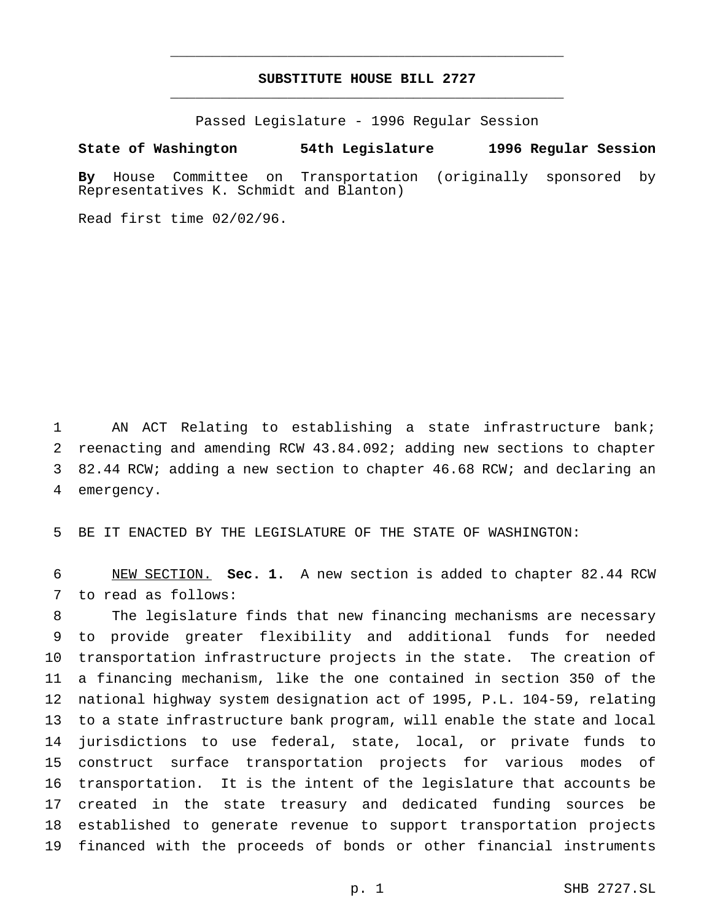# **SUBSTITUTE HOUSE BILL 2727** \_\_\_\_\_\_\_\_\_\_\_\_\_\_\_\_\_\_\_\_\_\_\_\_\_\_\_\_\_\_\_\_\_\_\_\_\_\_\_\_\_\_\_\_\_\_\_

\_\_\_\_\_\_\_\_\_\_\_\_\_\_\_\_\_\_\_\_\_\_\_\_\_\_\_\_\_\_\_\_\_\_\_\_\_\_\_\_\_\_\_\_\_\_\_

Passed Legislature - 1996 Regular Session

#### **State of Washington 54th Legislature 1996 Regular Session**

**By** House Committee on Transportation (originally sponsored by Representatives K. Schmidt and Blanton)

Read first time 02/02/96.

 AN ACT Relating to establishing a state infrastructure bank; reenacting and amending RCW 43.84.092; adding new sections to chapter 82.44 RCW; adding a new section to chapter 46.68 RCW; and declaring an emergency.

BE IT ENACTED BY THE LEGISLATURE OF THE STATE OF WASHINGTON:

 NEW SECTION. **Sec. 1.** A new section is added to chapter 82.44 RCW to read as follows:

 The legislature finds that new financing mechanisms are necessary to provide greater flexibility and additional funds for needed transportation infrastructure projects in the state. The creation of a financing mechanism, like the one contained in section 350 of the national highway system designation act of 1995, P.L. 104-59, relating to a state infrastructure bank program, will enable the state and local jurisdictions to use federal, state, local, or private funds to construct surface transportation projects for various modes of transportation. It is the intent of the legislature that accounts be created in the state treasury and dedicated funding sources be established to generate revenue to support transportation projects financed with the proceeds of bonds or other financial instruments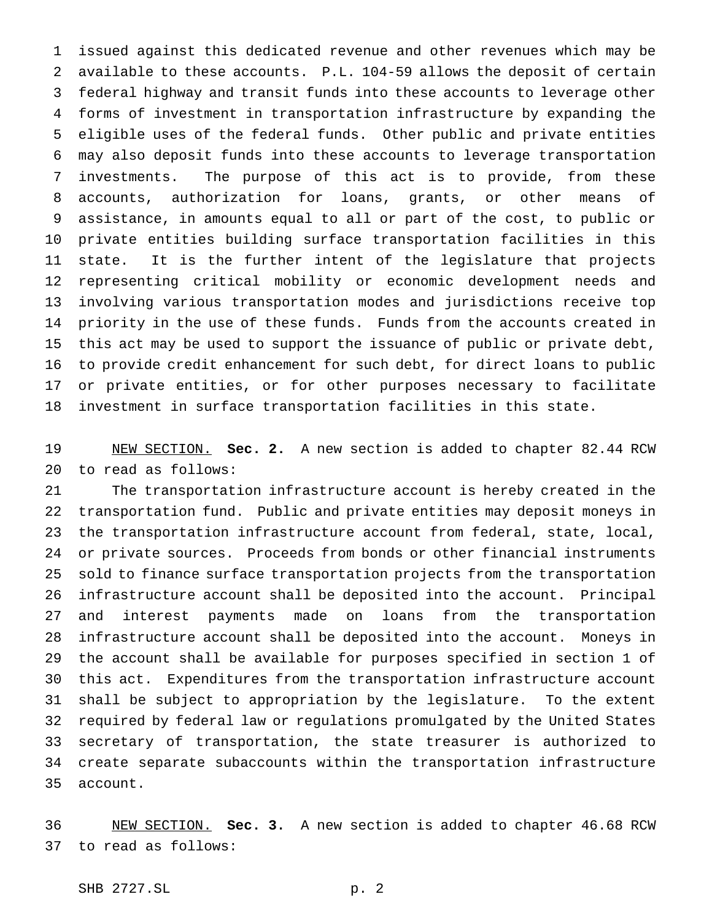issued against this dedicated revenue and other revenues which may be available to these accounts. P.L. 104-59 allows the deposit of certain federal highway and transit funds into these accounts to leverage other forms of investment in transportation infrastructure by expanding the eligible uses of the federal funds. Other public and private entities may also deposit funds into these accounts to leverage transportation investments. The purpose of this act is to provide, from these accounts, authorization for loans, grants, or other means of assistance, in amounts equal to all or part of the cost, to public or private entities building surface transportation facilities in this state. It is the further intent of the legislature that projects representing critical mobility or economic development needs and involving various transportation modes and jurisdictions receive top priority in the use of these funds. Funds from the accounts created in this act may be used to support the issuance of public or private debt, to provide credit enhancement for such debt, for direct loans to public or private entities, or for other purposes necessary to facilitate investment in surface transportation facilities in this state.

 NEW SECTION. **Sec. 2.** A new section is added to chapter 82.44 RCW to read as follows:

 The transportation infrastructure account is hereby created in the transportation fund. Public and private entities may deposit moneys in the transportation infrastructure account from federal, state, local, or private sources. Proceeds from bonds or other financial instruments sold to finance surface transportation projects from the transportation infrastructure account shall be deposited into the account. Principal and interest payments made on loans from the transportation infrastructure account shall be deposited into the account. Moneys in the account shall be available for purposes specified in section 1 of this act. Expenditures from the transportation infrastructure account shall be subject to appropriation by the legislature. To the extent required by federal law or regulations promulgated by the United States secretary of transportation, the state treasurer is authorized to create separate subaccounts within the transportation infrastructure account.

 NEW SECTION. **Sec. 3.** A new section is added to chapter 46.68 RCW to read as follows: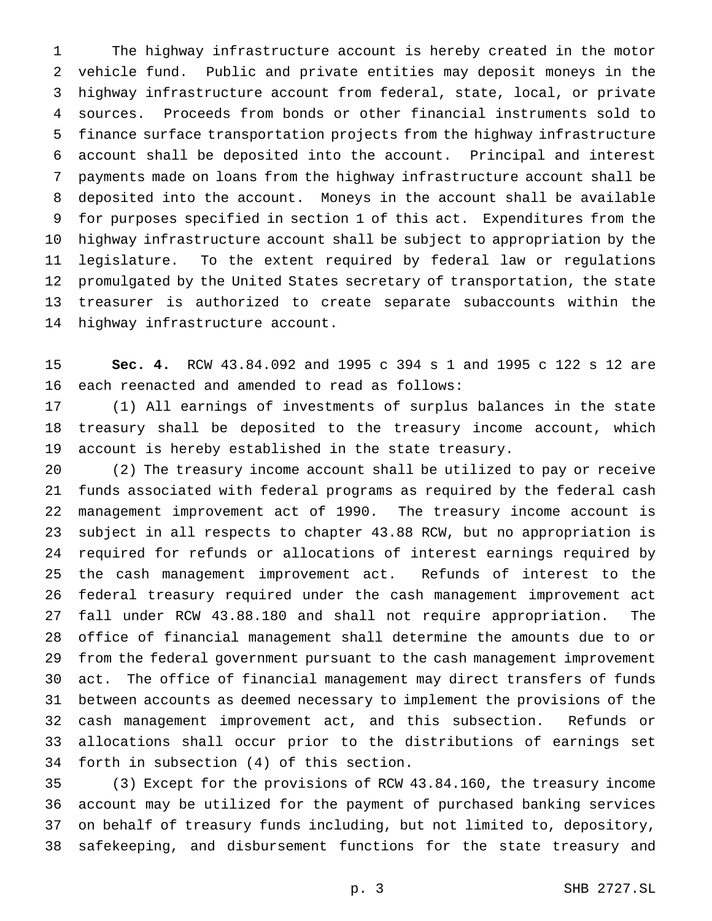The highway infrastructure account is hereby created in the motor vehicle fund. Public and private entities may deposit moneys in the highway infrastructure account from federal, state, local, or private sources. Proceeds from bonds or other financial instruments sold to finance surface transportation projects from the highway infrastructure account shall be deposited into the account. Principal and interest payments made on loans from the highway infrastructure account shall be deposited into the account. Moneys in the account shall be available for purposes specified in section 1 of this act. Expenditures from the highway infrastructure account shall be subject to appropriation by the legislature. To the extent required by federal law or regulations promulgated by the United States secretary of transportation, the state treasurer is authorized to create separate subaccounts within the highway infrastructure account.

 **Sec. 4.** RCW 43.84.092 and 1995 c 394 s 1 and 1995 c 122 s 12 are each reenacted and amended to read as follows:

 (1) All earnings of investments of surplus balances in the state treasury shall be deposited to the treasury income account, which account is hereby established in the state treasury.

 (2) The treasury income account shall be utilized to pay or receive funds associated with federal programs as required by the federal cash management improvement act of 1990. The treasury income account is subject in all respects to chapter 43.88 RCW, but no appropriation is required for refunds or allocations of interest earnings required by the cash management improvement act. Refunds of interest to the federal treasury required under the cash management improvement act fall under RCW 43.88.180 and shall not require appropriation. The office of financial management shall determine the amounts due to or from the federal government pursuant to the cash management improvement act. The office of financial management may direct transfers of funds between accounts as deemed necessary to implement the provisions of the cash management improvement act, and this subsection. Refunds or allocations shall occur prior to the distributions of earnings set forth in subsection (4) of this section.

 (3) Except for the provisions of RCW 43.84.160, the treasury income account may be utilized for the payment of purchased banking services on behalf of treasury funds including, but not limited to, depository, safekeeping, and disbursement functions for the state treasury and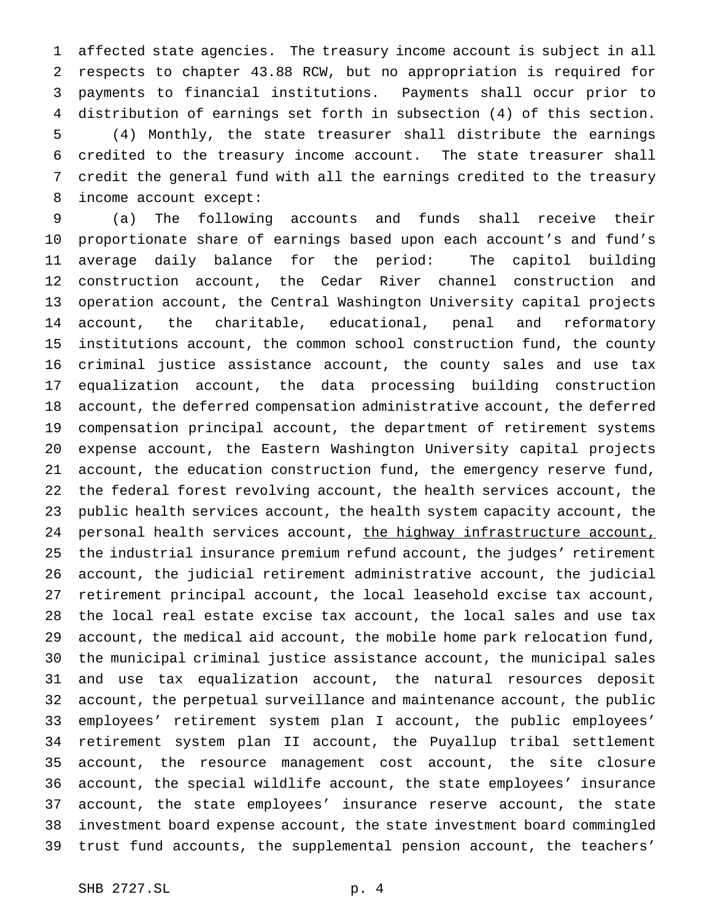affected state agencies. The treasury income account is subject in all respects to chapter 43.88 RCW, but no appropriation is required for payments to financial institutions. Payments shall occur prior to distribution of earnings set forth in subsection (4) of this section. (4) Monthly, the state treasurer shall distribute the earnings credited to the treasury income account. The state treasurer shall credit the general fund with all the earnings credited to the treasury income account except:

 (a) The following accounts and funds shall receive their proportionate share of earnings based upon each account's and fund's average daily balance for the period: The capitol building construction account, the Cedar River channel construction and operation account, the Central Washington University capital projects account, the charitable, educational, penal and reformatory institutions account, the common school construction fund, the county criminal justice assistance account, the county sales and use tax equalization account, the data processing building construction account, the deferred compensation administrative account, the deferred compensation principal account, the department of retirement systems expense account, the Eastern Washington University capital projects account, the education construction fund, the emergency reserve fund, the federal forest revolving account, the health services account, the public health services account, the health system capacity account, the 24 personal health services account, the highway infrastructure account, the industrial insurance premium refund account, the judges' retirement account, the judicial retirement administrative account, the judicial retirement principal account, the local leasehold excise tax account, the local real estate excise tax account, the local sales and use tax account, the medical aid account, the mobile home park relocation fund, the municipal criminal justice assistance account, the municipal sales and use tax equalization account, the natural resources deposit account, the perpetual surveillance and maintenance account, the public employees' retirement system plan I account, the public employees' retirement system plan II account, the Puyallup tribal settlement account, the resource management cost account, the site closure account, the special wildlife account, the state employees' insurance account, the state employees' insurance reserve account, the state investment board expense account, the state investment board commingled trust fund accounts, the supplemental pension account, the teachers'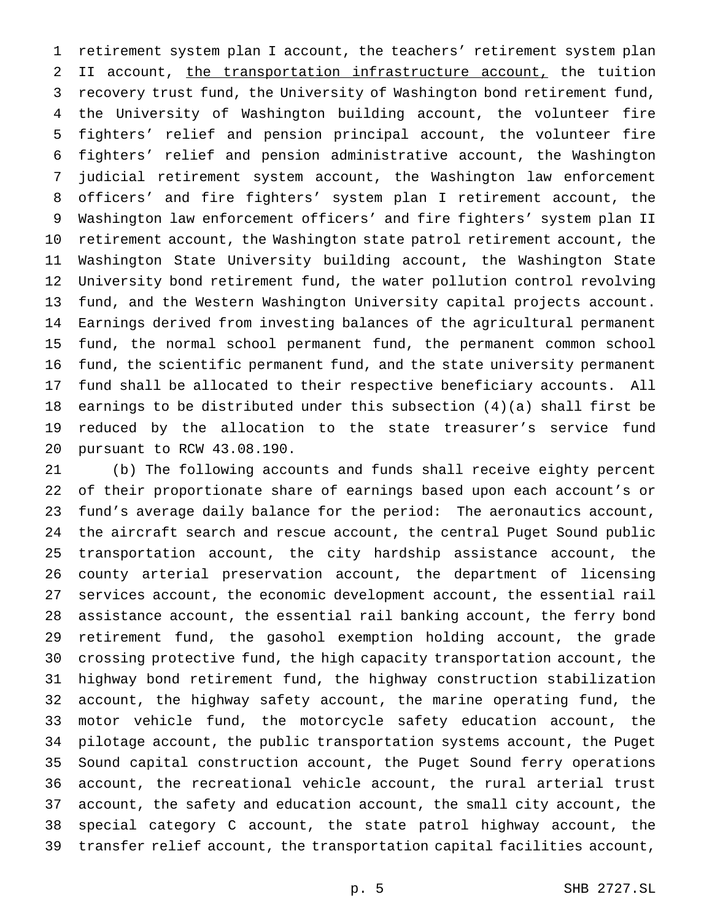retirement system plan I account, the teachers' retirement system plan 2 II account, the transportation infrastructure account, the tuition recovery trust fund, the University of Washington bond retirement fund, the University of Washington building account, the volunteer fire fighters' relief and pension principal account, the volunteer fire fighters' relief and pension administrative account, the Washington judicial retirement system account, the Washington law enforcement officers' and fire fighters' system plan I retirement account, the Washington law enforcement officers' and fire fighters' system plan II retirement account, the Washington state patrol retirement account, the Washington State University building account, the Washington State University bond retirement fund, the water pollution control revolving fund, and the Western Washington University capital projects account. Earnings derived from investing balances of the agricultural permanent fund, the normal school permanent fund, the permanent common school fund, the scientific permanent fund, and the state university permanent fund shall be allocated to their respective beneficiary accounts. All earnings to be distributed under this subsection (4)(a) shall first be reduced by the allocation to the state treasurer's service fund pursuant to RCW 43.08.190.

 (b) The following accounts and funds shall receive eighty percent of their proportionate share of earnings based upon each account's or fund's average daily balance for the period: The aeronautics account, the aircraft search and rescue account, the central Puget Sound public transportation account, the city hardship assistance account, the county arterial preservation account, the department of licensing services account, the economic development account, the essential rail assistance account, the essential rail banking account, the ferry bond retirement fund, the gasohol exemption holding account, the grade crossing protective fund, the high capacity transportation account, the highway bond retirement fund, the highway construction stabilization account, the highway safety account, the marine operating fund, the motor vehicle fund, the motorcycle safety education account, the pilotage account, the public transportation systems account, the Puget Sound capital construction account, the Puget Sound ferry operations account, the recreational vehicle account, the rural arterial trust account, the safety and education account, the small city account, the special category C account, the state patrol highway account, the transfer relief account, the transportation capital facilities account,